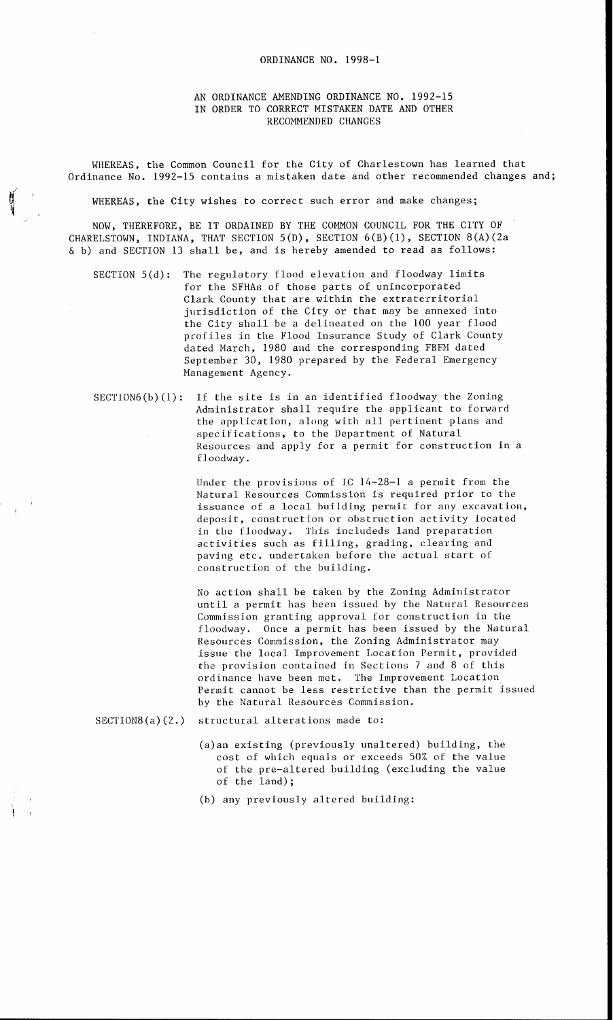## ORDINANCE NO. 1998-1

## AN ORDINANCE AMENDING ORDINANCE NO. 1992-15 IN ORDER TO CORRECT MISTAKEN DATE AND OTHER RECOMMENDED CHANGES

WHEREAS, the Common Council for the City of Charlestown has learned that Ordinance No. 1992-15 contains a mistaken date and other recommended changes and;

WHEREAS, the City wishes to correct such error and make changes;

NOW, THEREFORE, BE IT ORDAINED BY THE COMMON COUNCIL FOR THE city OF CHARELSTOWN, INDIANA, THAT SECTION 5(D), SECTION 6(B)(l), SECTION 8(A)(2a & b) and SECTION 13 shall be, and is hereby amended to read as follows:

- SECTION 5(d): The regulatory flood elevation and floodway limits for the SFHAs *of* those parts of unincorporated Clark County that are within the extraterritorial jurisdiction of the City or that may be annexed into the City shall be a delineated on the 100 year flood profiles in the Flood Insurance Study of Clark County dated March, 1980 and the corresponding FBFM dated September 30, 1980 prepared by the Federal Emergency Management Agency .
- $SECTION6(b)(1):$  If the site is in an identified floodway the Zoning Administrator shall require the applicant to forward the application, along with all pertinent plans and specifications, to the Department of Natural Resources and apply for a permit for construction in a f l oodway .

Under the provisions of IC 14-28-1 a permit from the Natural Resources Commission is required prior to the deposit, construction or obstruction activity located in the floodway. This includeds land preparation activities such as filling, grading, clearing and paving etc. undertaken before the actual start of construction *of* the building. issuance of a local building permit for any excavation,

No action shall be taken by the Zoning Administrator until a permit has been issued by the Natural Resources Commission granting approval for construction in the floodway. Once a permit has been issued by the Natural Resources Commission, the Zoning Administrator may issue the local Improvement Location Permit, provided the provision contained in Sections 7 and 8 of this ordinance have been met. The Improvement Location Permit cannot be less restrictive than the permit issued by the Natural Resources Commission.

SECTION8(a) (2.) structural alterations made to:

(a)an existing (previously unaltered) building, the cost of which equals or exceeds 50% of the value of the pre-altered building (excluding the value of the land);

(b) any previously altered building: